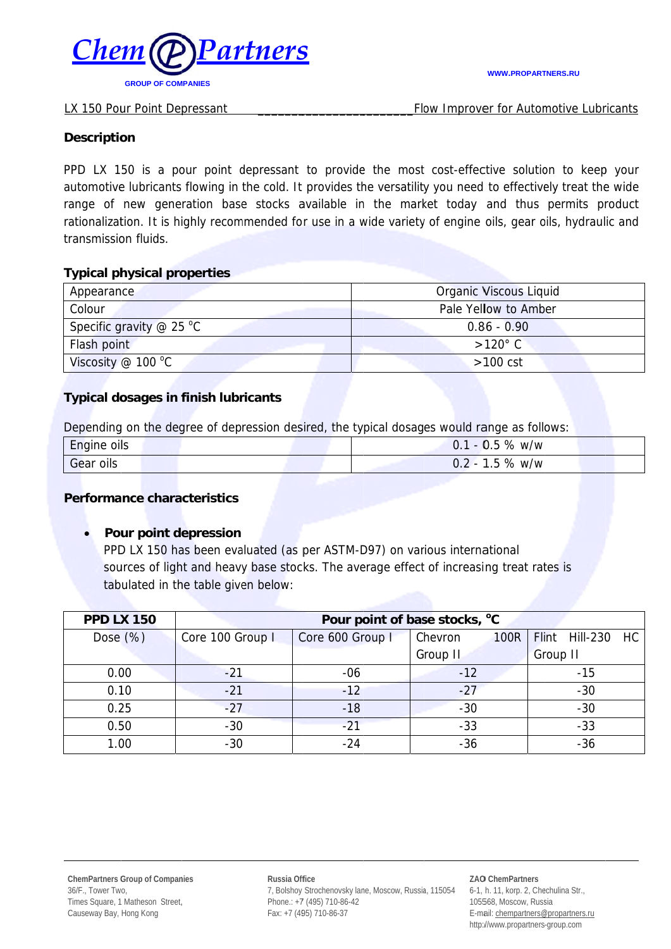

Flow Improver for Automotive Lubricants

#### **Description**

PPD LX 150 is a pour point depressant to provide the most cost-effective solution to keep your automotive lubricants flowing in the cold. It provides the versatility you need to effectively treat the wide range of new generation base stocks available in the market today and thus permits product rationalization. It is highly recommended for use in a wide variety of engine oils, gear oils, hydraulic and transmission fluids.

## **Typical physical properties**

| Appearance                      | Organic Viscous Liquid |  |
|---------------------------------|------------------------|--|
| Colour                          | Pale Yellow to Amber   |  |
| Specific gravity $\omega$ 25 °C | $0.86 - 0.90$          |  |
| Flash point                     | $>120^{\circ}$ C       |  |
| Viscosity @ 100 $^{\circ}$ C    | $>100$ cst             |  |

# **Typical dosages in finish lubricants**

Depending on the degree of depression desired, the typical dosages would range as follows:

| $\overline{\phantom{0}}$<br>Engine oils | %<br>$\overline{ }$<br>$\sim$<br>w/w<br>. U.S<br>U.                            |
|-----------------------------------------|--------------------------------------------------------------------------------|
| Gear<br>oils                            | $\overline{\phantom{0}}$<br>%<br>w/w<br>$\mathbf{h}$<br>$\prime$ $\sim$<br>ں . |

# **Performance characteristics**

# Pour point depression

PPD LX 150 has been evaluated (as per ASTM-D97) on various international sources of light and heavy base stocks. The average effect of increasing treat rates is tabulated in the table given below:

| <b>PPD LX 150</b> | Pour point of base stocks, °C |                  |                        |                             |  |
|-------------------|-------------------------------|------------------|------------------------|-----------------------------|--|
| Dose $(\%)$       | Core 100 Group I              | Core 600 Group I | Chevron<br><b>100R</b> | Flint Hill-230<br><b>HC</b> |  |
|                   |                               |                  | Group II               | Group II                    |  |
| 0.00              | $-21$                         | $-06$            | $-12$                  | $-15$                       |  |
| 0.10              | $-21$                         | $-12$            | $-27$                  | $-30$                       |  |
| 0.25              | $-27$                         | $-18$            | $-30$                  | $-30$                       |  |
| 0.50              | $-30$                         | $-21$            | $-33$                  | $-33$                       |  |
| 1.00              | $-30$                         | -24              | $-36$                  | $-36$                       |  |

Russia Office 7, Bolshoy Strochenovsky lane, Moscow, Russia, 115054 Phone.: +7 (495) 710-86-42 Fax: +7 (495) 710-86-37

#### ZAO ChemPartners 6-1, h. 11, korp. 2, Chechulina Str., 105568, Moscow, Russia E-mail: chempartners@propartners.ru http://www.propartners-group.com